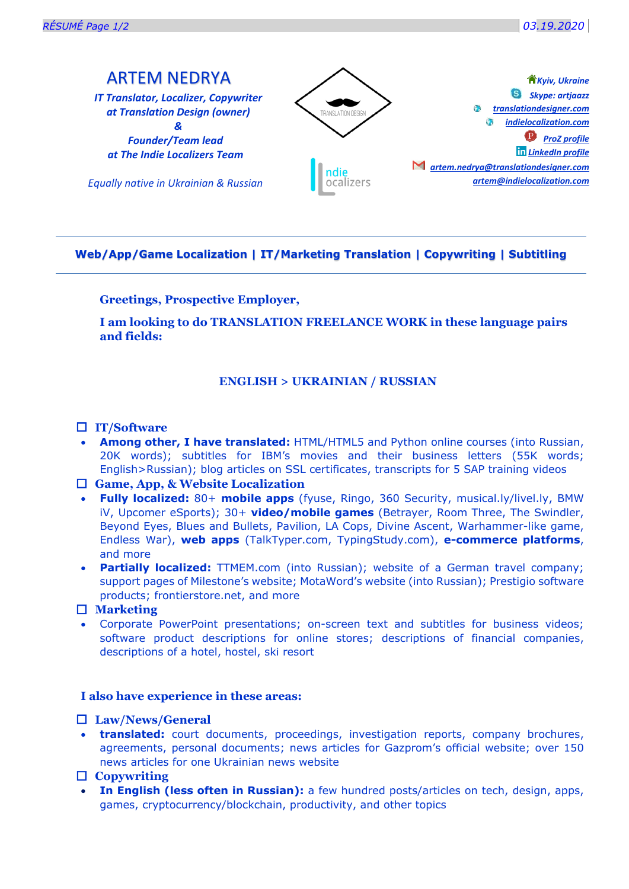*Kyiv, Ukraine*

# ARTEM NEDRYA

*IT Translator, Localizer, Copywriter at Translation Design (owner) &*

*Founder/Team lead at The Indie Localizers Team*

*Equally native in Ukrainian & Russian*



# **Web/App/Game Localization | IT/Marketing Translation | Copywriting | Subtitling**

# **Greetings, Prospective Employer,**

**I am looking to do TRANSLATION FREELANCE WORK in these language pairs and fields:**

# **ENGLISH > UKRAINIAN / RUSSIAN**

# **IT/Software**

• **Among other, I have translated:** HTML/HTML5 and Python online courses (into Russian, 20K words); subtitles for IBM's movies and their business letters (55K words; English>Russian); blog articles on SSL certificates, transcripts for 5 SAP training videos

# **Game, App, & Website Localization**

- **Fully localized:** 80+ **mobile apps** [\(fyuse,](https://fyu.se/) Ringo, 360 Security, musical.ly/livel.ly, BMW iV, Upcomer eSports); 30+ **video/mobile games** (Betrayer, Room Three, The Swindler, Beyond Eyes, Blues and Bullets, Pavilion, LA Cops, Divine Ascent, Warhammer-like game, Endless War), **web apps** (TalkTyper.com, TypingStudy.com), **e-commerce platforms**, and more
- **Partially localized:** TTMEM.com (into Russian); website of a German travel company; support pages of [Milestone's website](http://www.milestonesys.com/); MotaWord's website (into Russian); Prestigio software products; frontierstore.net, and more

# **Marketing**

• Corporate PowerPoint presentations; on-screen text and subtitles for business videos; software product descriptions for online stores; descriptions of financial companies, descriptions of a hotel, hostel, ski resort

## **I also have experience in these areas:**

## **Law/News/General**

- **translated:** court documents, proceedings, investigation reports, company brochures, agreements, personal documents; news articles for Gazprom's official website; over 150 news articles for one Ukrainian news website
- **Copywriting**
- **In English (less often in Russian):** a few hundred posts/articles on tech, design, apps, games, cryptocurrency/blockchain, productivity, and other topics